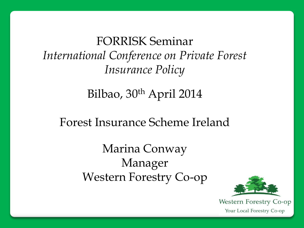FORRISK Seminar *International Conference on Private Forest Insurance Policy*

Bilbao, 30<sup>th</sup> April 2014

Forest Insurance Scheme Ireland

Marina Conway Manager Western Forestry Co-op

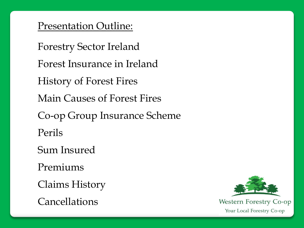Presentation Outline:

Forestry Sector Ireland Forest Insurance in Ireland History of Forest Fires Main Causes of Forest Fires Co-op Group Insurance Scheme Perils Sum Insured Premiums Claims History

Cancellations

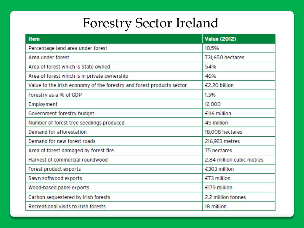# Forestry Sector Ireland

| <b>Item</b>                                                           | <b>Value (2012)</b>       |
|-----------------------------------------------------------------------|---------------------------|
| Percentage land area under forest                                     | 10.5%                     |
| Area under forest                                                     | 731,650 hectares          |
| Area of forest which is State owned                                   | 54%                       |
| Area of forest which is in private ownership                          | 46%                       |
| Value to the Irish economy of the forestry and forest products sector | €2.20 billion             |
| Forestry as a % of GDP                                                | 1.3%                      |
| Employment                                                            | 12,000                    |
| Government forestry budget                                            | €116 million              |
| Number of forest tree seedlings produced                              | 45 million                |
| Demand for afforestation                                              | 18,008 hectares           |
| Demand for new forest roads                                           | 216,923 metres            |
| Area of forest damaged by forest fire                                 | 75 hectares               |
| Harvest of commercial roundwood                                       | 2.84 million cubic metres |
| Forest product exports                                                | €303 million              |
| Sawn softwood exports                                                 | $€73$ million             |
| Wood-based panel exports                                              | €179 million              |
| Carbon sequestered by Irish forests                                   | 2.2 million tonnes        |
| Recreational visits to Irish forests                                  | 18 million                |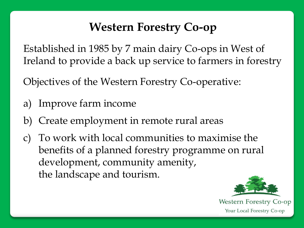# **Western Forestry Co-op**

Established in 1985 by 7 main dairy Co-ops in West of Ireland to provide a back up service to farmers in forestry

Objectives of the Western Forestry Co-operative:

- a) Improve farm income
- b) Create employment in remote rural areas
- c) To work with local communities to maximise the benefits of a planned forestry programme on rural development, community amenity, the landscape and tourism.

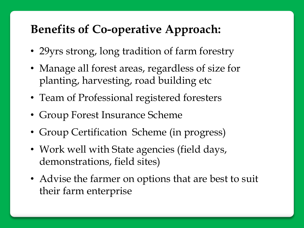# **Benefits of Co-operative Approach:**

- 29yrs strong, long tradition of farm forestry
- Manage all forest areas, regardless of size for planting, harvesting, road building etc
- Team of Professional registered foresters
- Group Forest Insurance Scheme
- Group Certification Scheme (in progress)
- Work well with State agencies (field days, demonstrations, field sites)
- Advise the farmer on options that are best to suit their farm enterprise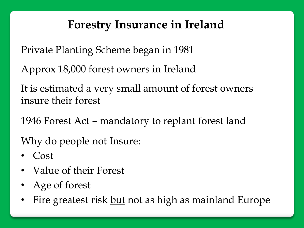# **Forestry Insurance in Ireland**

Private Planting Scheme began in 1981

Approx 18,000 forest owners in Ireland

It is estimated a very small amount of forest owners insure their forest

1946 Forest Act – mandatory to replant forest land

Why do people not Insure:

- Cost
- Value of their Forest
- Age of forest
- Fire greatest risk but not as high as mainland Europe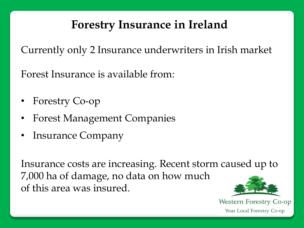# **Forestry Insurance in Ireland**

Currently only 2 Insurance underwriters in Irish market

Forest Insurance is available from:

- Forestry Co-op
- Forest Management Companies
- Insurance Company

Insurance costs are increasing. Recent storm caused up to 7,000 ha of damage, no data on how much of this area was insured.

**Western Forestry Co-op** 

Your Local Forestry Co-op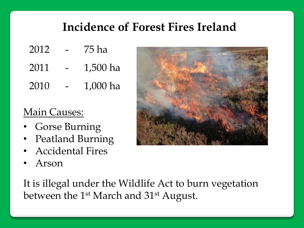# **Incidence of Forest Fires Ireland**

- 2012 75 ha
- 2011 1,500 ha
- 2010 1,000 ha

#### Main Causes:

- Gorse Burning
- Peatland Burning
- Accidental Fires
- Arson

It is illegal under the Wildlife Act to burn vegetation between the 1<sup>st</sup> March and 31<sup>st</sup> August.

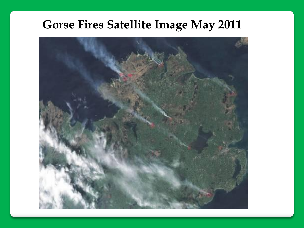# **Gorse Fires Satellite Image May 2011**

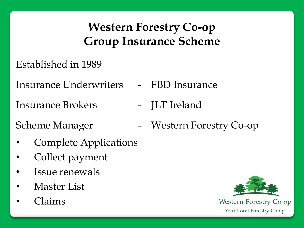# **Western Forestry Co-op Group Insurance Scheme**

Established in 1989

Insurance Underwriters - FBD Insurance

Insurance Brokers - JLT Ireland

- Complete Applications
- Collect payment
- Issue renewals
- Master List
- Claims
- 
- 
- Scheme Manager Western Forestry Co-op

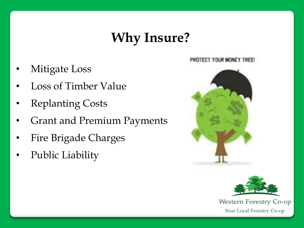# **Why Insure?**

- Mitigate Loss
- Loss of Timber Value
- **Replanting Costs**
- Grant and Premium Payments
- Fire Brigade Charges
- Public Liability





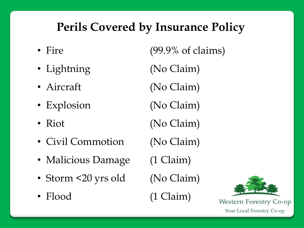# **Perils Covered by Insurance Policy**

- 
- 
- 
- Explosion (No Claim)
- 
- Civil Commotion (No Claim)
- Malicious Damage (1 Claim)
- Storm <20 yrs old (No Claim)
- Flood (1 Claim)

• Fire (99.9% of claims) • Lightning (No Claim) • Aircraft (No Claim) • Riot (No Claim)

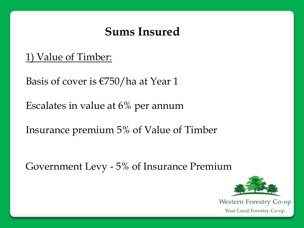1) Value of Timber:

Basis of cover is €750/ha at Year 1

Escalates in value at 6% per annum

Insurance premium 5% of Value of Timber

Government Levy - 5% of Insurance Premium

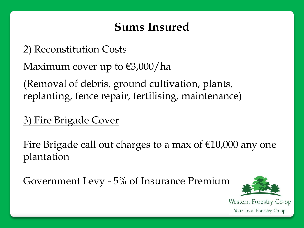#### 2) Reconstitution Costs

Maximum cover up to  $\epsilon$ 3,000/ha

(Removal of debris, ground cultivation, plants, replanting, fence repair, fertilising, maintenance)

3) Fire Brigade Cover

Fire Brigade call out charges to a max of  $€10,000$  any one plantation

Government Levy - 5% of Insurance Premium

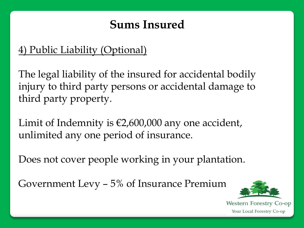#### 4) Public Liability (Optional)

The legal liability of the insured for accidental bodily injury to third party persons or accidental damage to third party property.

Limit of Indemnity is  $\epsilon$ 2,600,000 any one accident, unlimited any one period of insurance.

Does not cover people working in your plantation.

Government Levy – 5% of Insurance Premium

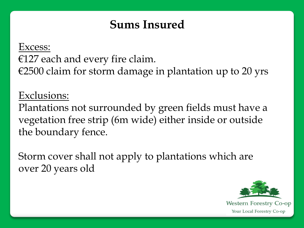Excess:  $E127$  each and every fire claim.  $€2500$  claim for storm damage in plantation up to 20 yrs

Exclusions:

Plantations not surrounded by green fields must have a vegetation free strip (6m wide) either inside or outside the boundary fence.

Storm cover shall not apply to plantations which are over 20 years old

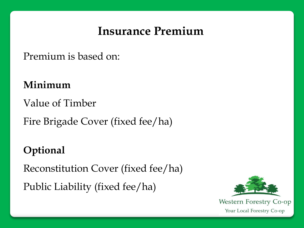### **Insurance Premium**

Premium is based on:

**Minimum**

Value of Timber

Fire Brigade Cover (fixed fee/ha)

#### **Optional**

Reconstitution Cover (fixed fee/ha) Public Liability (fixed fee/ha)

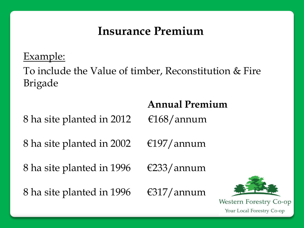## **Insurance Premium**

Example:

To include the Value of timber, Reconstitution & Fire Brigade

#### **Annual Premium**

8 ha site planted in 2012  $\epsilon$ 168/annum

8 ha site planted in 2002  $\epsilon$ 197/annum

8 ha site planted in 1996  $\epsilon$ 233/annum

8 ha site planted in 1996  $\epsilon$ 317/annum

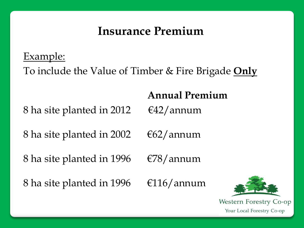#### **Insurance Premium**

Example:

To include the Value of Timber & Fire Brigade **Only**

8 ha site planted in 2012  $\epsilon$ 42/annum

#### **Annual Premium**

8 ha site planted in 2002  $\epsilon$ 62/annum

8 ha site planted in 1996  $\epsilon$   $78/$  annum

8 ha site planted in 1996  $\epsilon$ 116/annum

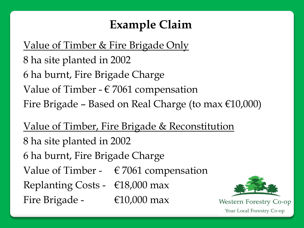# **Example Claim**

Value of Timber & Fire Brigade Only 8 ha site planted in 2002 6 ha burnt, Fire Brigade Charge Value of Timber -  $\epsilon$  7061 compensation Fire Brigade – Based on Real Charge (to max  $\epsilon$ 10,000)

Value of Timber, Fire Brigade & Reconstitution 8 ha site planted in 2002 6 ha burnt, Fire Brigade Charge Value of Timber -  $\epsilon$  7061 compensation Replanting Costs -  $\epsilon$ 18,000 max Fire Brigade - €10,000 max

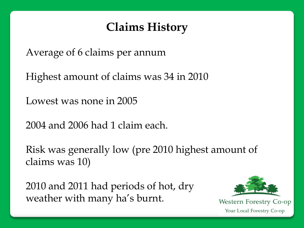# **Claims History**

Average of 6 claims per annum

Highest amount of claims was 34 in 2010

Lowest was none in 2005

2004 and 2006 had 1 claim each.

Risk was generally low (pre 2010 highest amount of claims was 10)

2010 and 2011 had periods of hot, dry weather with many ha's burnt.

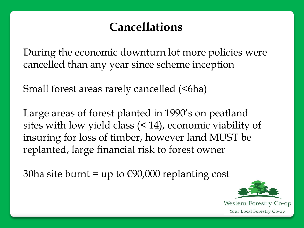# **Cancellations**

During the economic downturn lot more policies were cancelled than any year since scheme inception

Small forest areas rarely cancelled (<6ha)

Large areas of forest planted in 1990's on peatland sites with low yield class (< 14), economic viability of insuring for loss of timber, however land MUST be replanted, large financial risk to forest owner

30ha site burnt = up to  $\epsilon$ 90,000 replanting cost